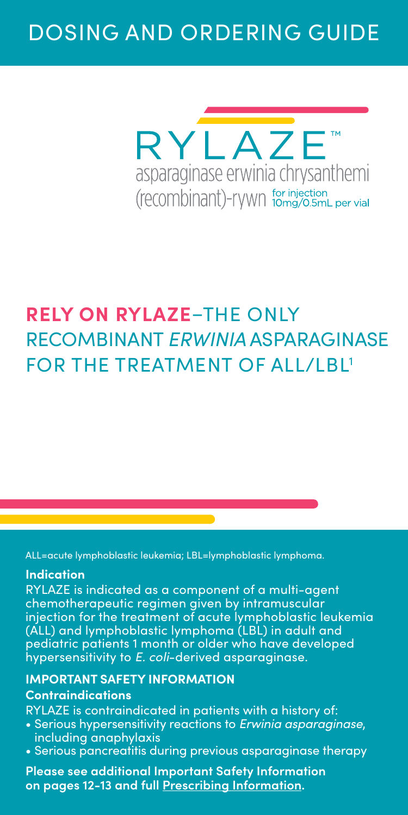# DOSING AND ORDERING GUIDE



# **RELY ON RYLAZE**–THE ONLY RECOMBINANT *ERWINIA* ASPARAGINASE FOR THE TREATMENT OF ALL/LBL1

ALL=acute lymphoblastic leukemia; LBL=lymphoblastic lymphoma.

#### **Indication**

RYLAZE is indicated as a component of a multi-agent chemotherapeutic regimen given by intramuscular injection for the treatment of acute lymphoblastic leukemia (ALL) and lymphoblastic lymphoma (LBL) in adult and pediatric patients 1 month or older who have developed hypersensitivity to *E. coli*-derived asparaginase.

#### **IMPORTANT SAFETY INFORMATION**

#### **Contraindications**

RYLAZE is contraindicated in patients with a history of:

- Serious hypersensitivity reactions to *Erwinia asparaginase*, including anaphylaxis
- Serious pancreatitis during previous asparaginase therapy

**Please see additional Important Safety Information on pages 12-13 and full [Prescribing Information.](https://pp.jazzpharma.com/pi/rylaze.en.USPI.pdf)**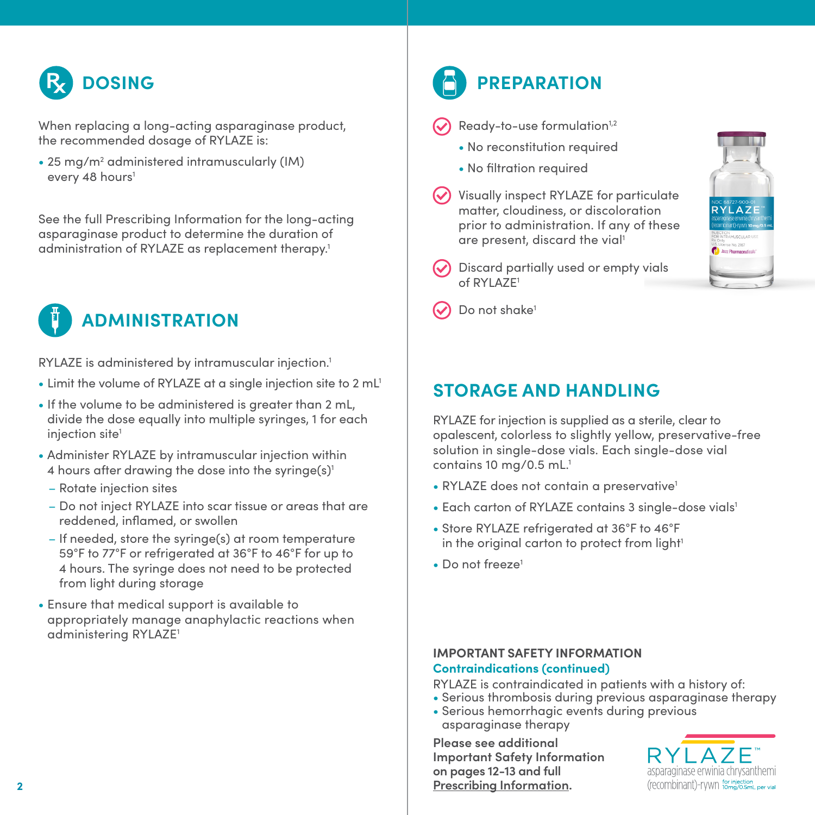

When replacing a long-acting asparaginase product, the recommended dosage of RYLAZE is:

• 25 mg/m<sup>2</sup> administered intramuscularly (IM) every 48 hours<sup>1</sup>

See the full Prescribing Information for the long-acting asparaginase product to determine the duration of administration of RYLAZE as replacement therapy.<sup>1</sup>



RYLAZE is administered by intramuscular injection.1

- Limit the volume of RYLAZE at a single injection site to 2 mL<sup>1</sup>
- If the volume to be administered is greater than 2 mL, divide the dose equally into multiple syringes, 1 for each injection site<sup>1</sup>
- Administer RYLAZE by intramuscular injection within 4 hours after drawing the dose into the syringe $(s)^1$ 
	- Rotate injection sites
	- Do not inject RYLAZE into scar tissue or areas that are reddened, inflamed, or swollen
	- If needed, store the syringe(s) at room temperature 59°F to 77°F or refrigerated at 36°F to 46°F for up to 4 hours. The syringe does not need to be protected from light during storage
- Ensure that medical support is available to appropriately manage anaphylactic reactions when administering RYLAZE1

# **PREPARATION**

- Ready-to-use formulation<sup>1,2</sup>
	- No reconstitution required
	- No filtration required
- Visually inspect RYLAZE for particulate matter, cloudiness, or discoloration prior to administration. If any of these are present, discard the vial<sup>1</sup>



Discard partially used or empty vials of RYLAZE1

Do not shake<sup>1</sup>

### **STORAGE AND HANDLING**

RYLAZE for injection is supplied as a sterile, clear to opalescent, colorless to slightly yellow, preservative-free solution in single-dose vials. Each single-dose vial contains 10 mg/0.5 mL.<sup>1</sup>

- RYLAZE does not contain a preservative<sup>1</sup>
- Each carton of RYLAZE contains 3 single-dose vials<sup>1</sup>
- Store RYLAZE refrigerated at 36°F to 46°F in the original carton to protect from light<sup>1</sup>
- Do not freeze<sup>1</sup>

#### **IMPORTANT SAFETY INFORMATION Contraindications (continued)**

RYLAZE is contraindicated in patients with a history of:

- Serious thrombosis during previous asparaginase therapy
- Serious hemorrhagic events during previous asparaginase therapy

**Please see additional Important Safety Information on pages 12-13 and full [Prescribing Information](https://pp.jazzpharma.com/pi/rylaze.en.USPI.pdf).**

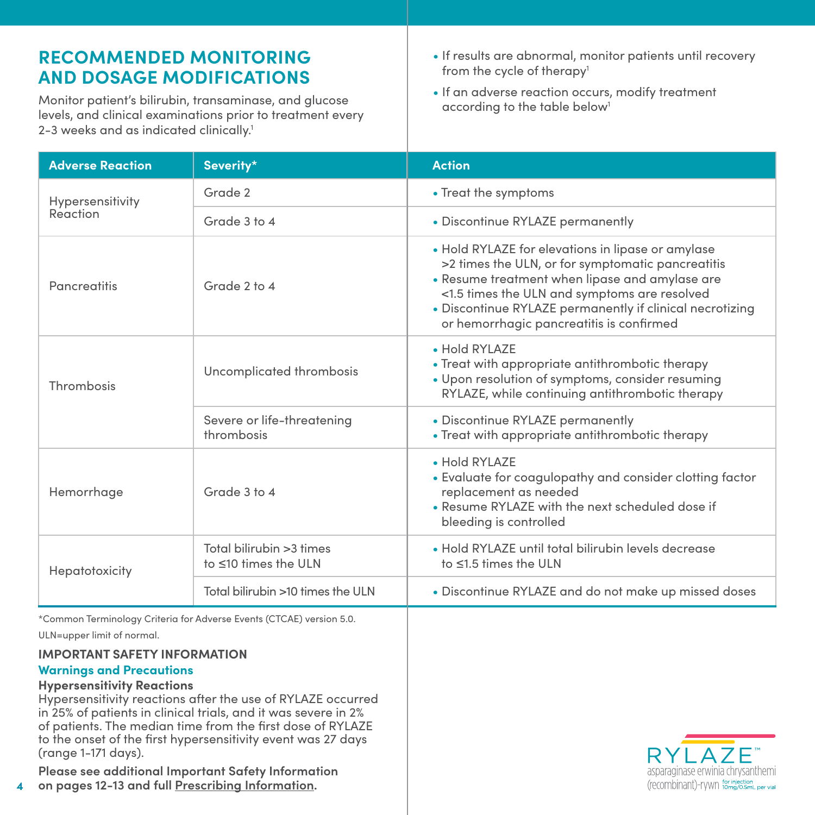### **RECOMMENDED MONITORING AND DOSAGE MODIFICATIONS**

Monitor patient's bilirubin, transaminase, and glucose levels, and clinical examinations prior to treatment every 2-3 weeks and as indicated clinically.<sup>1</sup>

- If results are abnormal, monitor patients until recovery from the cycle of therapy<sup>1</sup>
- If an adverse reaction occurs, modify treatment according to the table below<sup>1</sup>

| <b>Adverse Reaction</b>                                                                                                                                                                                                                                                    | Severity*                                                                                                                                                                                                                                                                                                                           | <b>Action</b>                                                                                                                                                                                                                                                                                                    |  |
|----------------------------------------------------------------------------------------------------------------------------------------------------------------------------------------------------------------------------------------------------------------------------|-------------------------------------------------------------------------------------------------------------------------------------------------------------------------------------------------------------------------------------------------------------------------------------------------------------------------------------|------------------------------------------------------------------------------------------------------------------------------------------------------------------------------------------------------------------------------------------------------------------------------------------------------------------|--|
| Hypersensitivity                                                                                                                                                                                                                                                           | Grade 2                                                                                                                                                                                                                                                                                                                             | • Treat the symptoms                                                                                                                                                                                                                                                                                             |  |
| Reaction                                                                                                                                                                                                                                                                   | Grade 3 to 4                                                                                                                                                                                                                                                                                                                        | • Discontinue RYLAZE permanently                                                                                                                                                                                                                                                                                 |  |
| Pancreatitis                                                                                                                                                                                                                                                               | Grade 2 to 4                                                                                                                                                                                                                                                                                                                        | • Hold RYLAZE for elevations in lipase or amylase<br>>2 times the ULN, or for symptomatic pancreatitis<br>• Resume treatment when lipase and amylase are<br><1.5 times the ULN and symptoms are resolved<br>• Discontinue RYLAZE permanently if clinical necrotizing<br>or hemorrhagic pancreatitis is confirmed |  |
| Thrombosis                                                                                                                                                                                                                                                                 | Uncomplicated thrombosis                                                                                                                                                                                                                                                                                                            | • Hold RYLAZE<br>• Treat with appropriate antithrombotic therapy<br>· Upon resolution of symptoms, consider resuming<br>RYLAZE, while continuing antithrombotic therapy                                                                                                                                          |  |
|                                                                                                                                                                                                                                                                            | Severe or life-threatening<br>thrombosis                                                                                                                                                                                                                                                                                            | • Discontinue RYLAZE permanently<br>• Treat with appropriate antithrombotic therapy                                                                                                                                                                                                                              |  |
| Hemorrhage                                                                                                                                                                                                                                                                 | Grade 3 to 4                                                                                                                                                                                                                                                                                                                        | • Hold RYLAZE<br>• Evaluate for coagulopathy and consider clotting factor<br>replacement as needed<br>• Resume RYLAZE with the next scheduled dose if<br>bleeding is controlled                                                                                                                                  |  |
| Hepatotoxicity                                                                                                                                                                                                                                                             | Total bilirubin > 3 times<br>to ≤10 times the ULN                                                                                                                                                                                                                                                                                   | • Hold RYLAZE until total bilirubin levels decrease<br>to ≤1.5 times the ULN                                                                                                                                                                                                                                     |  |
|                                                                                                                                                                                                                                                                            | Total bilirubin >10 times the ULN                                                                                                                                                                                                                                                                                                   | • Discontinue RYLAZE and do not make up missed doses                                                                                                                                                                                                                                                             |  |
| ULN=upper limit of normal.<br><b>IMPORTANT SAFETY INFORMATION</b><br><b>Warnings and Precautions</b><br><b>Hypersensitivity Reactions</b><br>(range 1-171 days).<br>Please see additional Important Safety Information<br>on pages 12-13 and full Prescribina Information. | *Common Terminology Criteria for Adverse Events (CTCAE) version 5.0.<br>Hypersensitivity reactions after the use of RYLAZE occurred<br>in 25% of patients in clinical trials, and it was severe in 2%<br>of patients. The median time from the first dose of RYLAZE<br>to the onset of the first hypersensitivity event was 27 days | RYI A7F<br>asparaginase erwinia chrysanthemi<br>(recombinant)-rywn for injection<br>(recombinant)-rywn tomg/0.5mL per vial                                                                                                                                                                                       |  |

**4 on pages 12-13 and full [Prescribing Information.](https://pp.jazzpharma.com/pi/rylaze.en.USPI.pdf)**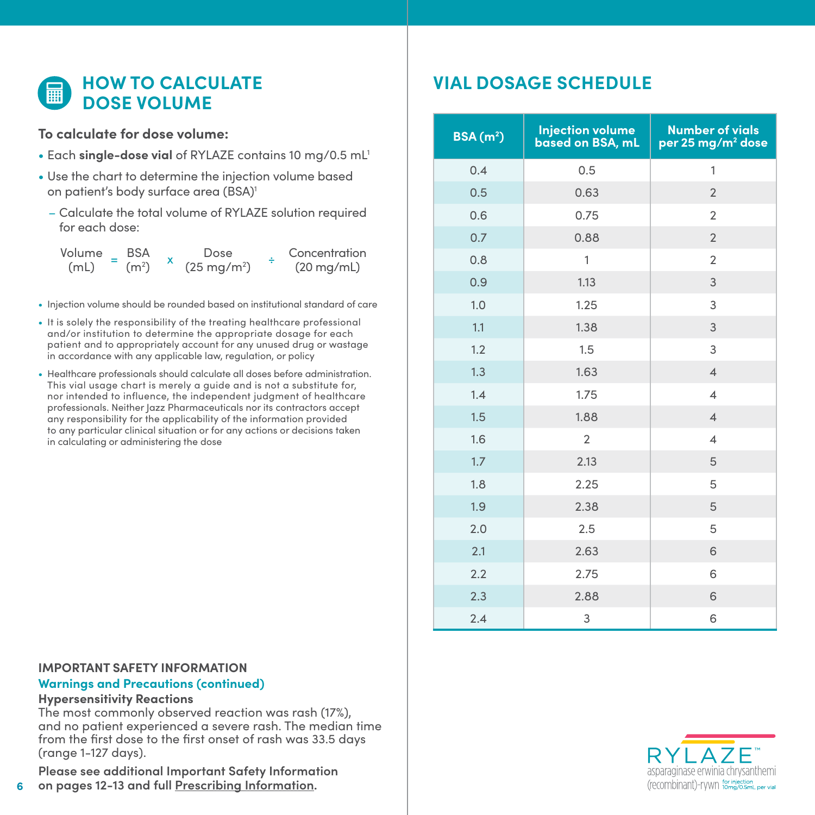### **ED HOW TO CALCULATE DOSE VOLUME**

#### **To calculate for dose volume:**

- Each **single-dose vial** of RYLAZE contains 10 mg/0.5 mL1
- Use the chart to determine the injection volume based on patient's body surface area (BSA)<sup>1</sup>
	- Calculate the total volume of RYLAZE solution required for each dose:

Volume BSA (mL) Dose (25 mg/m2 )  $(m<sup>2</sup>)$ Concentration  $(20 \text{ mg/mL})$ 

- Injection volume should be rounded based on institutional standard of care
- It is solely the responsibility of the treating healthcare professional and/or institution to determine the appropriate dosage for each patient and to appropriately account for any unused drug or wastage in accordance with any applicable law, regulation, or policy
- Healthcare professionals should calculate all doses before administration. This vial usage chart is merely a guide and is not a substitute for, nor intended to influence, the independent judgment of healthcare professionals. Neither Jazz Pharmaceuticals nor its contractors accept any responsibility for the applicability of the information provided to any particular clinical situation or for any actions or decisions taken in calculating or administering the dose

### **VIAL DOSAGE SCHEDULE**

| $BSA(m^2)$ | <b>Injection volume</b><br>based on BSA, mL | <b>Number of vials</b><br>per 25 mg/m <sup>2</sup> dose |
|------------|---------------------------------------------|---------------------------------------------------------|
| 0.4        | 0.5                                         | $\mathbf{1}$                                            |
| 0.5        | 0.63                                        | $\overline{2}$                                          |
| 0.6        | 0.75                                        | $\overline{2}$                                          |
| 0.7        | 0.88                                        | $\overline{2}$                                          |
| 0.8        | 1                                           | $\overline{2}$                                          |
| 0.9        | 1.13                                        | 3                                                       |
| 1.0        | 1.25                                        | 3                                                       |
| 1.1        | 1.38                                        | 3                                                       |
| 1.2        | 1.5                                         | 3                                                       |
| 1.3        | 1.63                                        | $\overline{4}$                                          |
| 1.4        | 1.75                                        | $\overline{4}$                                          |
| 1.5        | 1.88                                        | $\overline{4}$                                          |
| 1.6        | $\overline{2}$                              | $\overline{4}$                                          |
| 1.7        | 2.13                                        | 5                                                       |
| 1.8        | 2.25                                        | 5                                                       |
| 1.9        | 2.38                                        | 5                                                       |
| 2.0        | 2.5                                         | 5                                                       |
| 2.1        | 2.63                                        | 6                                                       |
| 2.2        | 2.75                                        | 6                                                       |
| 2.3        | 2.88                                        | 6                                                       |
| 2.4        | 3                                           | 6                                                       |

#### **IMPORTANT SAFETY INFORMATION Warnings and Precautions (continued)**

#### **Hypersensitivity Reactions**

**6**

The most commonly observed reaction was rash (17%), and no patient experienced a severe rash. The median time from the first dose to the first onset of rash was 33.5 days (range 1-127 days).

**Please see additional Important Safety Information on pages 12-13 and full [Prescribing Information](https://pp.jazzpharma.com/pi/rylaze.en.USPI.pdf).**

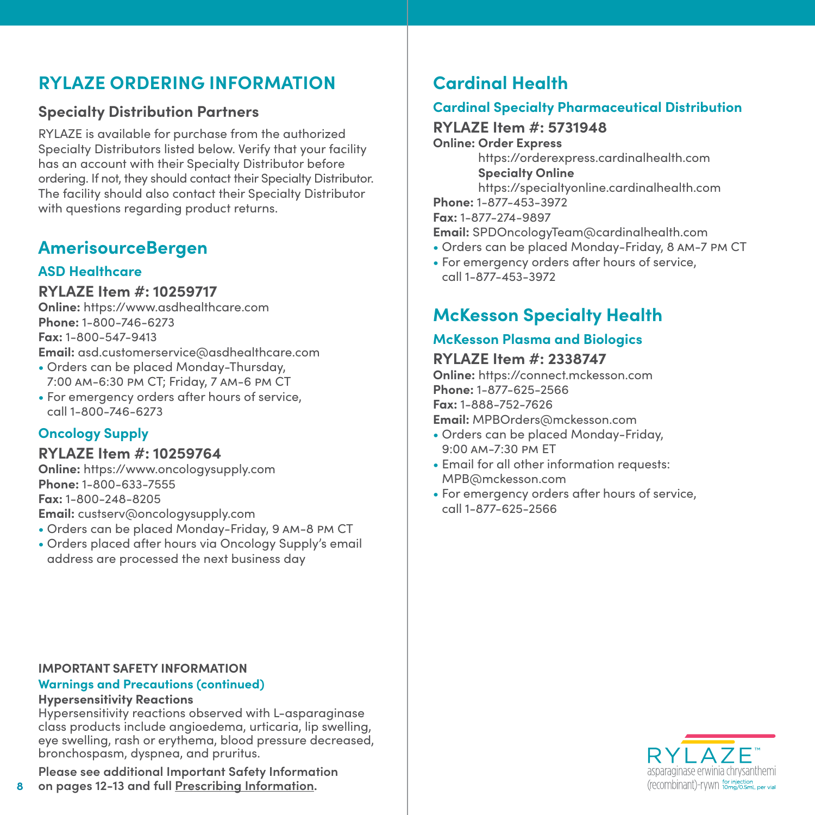### **RYLAZE ORDERING INFORMATION**

### **Specialty Distribution Partners**

RYLAZE is available for purchase from the authorized Specialty Distributors listed below. Verify that your facility has an account with their Specialty Distributor before ordering. If not, they should contact their Specialty Distributor. The facility should also contact their Specialty Distributor with questions regarding product returns.

### **AmerisourceBergen**

#### **ASD Healthcare**

#### **RYLAZE Item #: 10259717**

**Online:** https://www.asdhealthcare.com **Phone:** 1-800-746-6273 **Fax:** 1-800-547-9413 **Email:** asd.customerservice@asdhealthcare.com

- Orders can be placed Monday-Thursday, 7:00 am-6:30 pm CT; Friday, 7 am-6 pm CT
- For emergency orders after hours of service, call 1-800-746-6273

### **Oncology Supply**

#### **RYLAZE Item #: 10259764**

**Online:** https://www.oncologysupply.com **Phone:** 1-800-633-7555 **Fax:** 1-800-248-8205 **Email:** custserv@oncologysupply.com

- Orders can be placed Monday-Friday, 9 am-8 pm CT
- Orders placed after hours via Oncology Supply's email address are processed the next business day

## **Cardinal Health**

#### **Cardinal Specialty Pharmaceutical Distribution**

#### **RYLAZE Item #: 5731948**

**Online: Order Express** https://orderexpress.cardinalhealth.com

**Specialty Online**

https://specialtyonline.cardinalhealth.com

**Phone:** 1-877-453-3972

**Fax:** 1-877-274-9897

**Email:** SPDOncologyTeam@cardinalhealth.com

- Orders can be placed Monday-Friday, 8 am-7 pm CT
- For emergency orders after hours of service, call 1-877-453-3972

### **McKesson Specialty Health**

#### **McKesson Plasma and Biologics**

#### **RYLAZE Item #: 2338747**

**Online:** https://connect.mckesson.com **Phone:** 1-877-625-2566 **Fax:** 1-888-752-7626 **Email:** MPBOrders@mckesson.com

- Orders can be placed Monday-Friday, 9:00 am-7:30 pm ET
- Email for all other information requests: MPB@mckesson.com
- For emergency orders after hours of service, call 1-877-625-2566



#### **IMPORTANT SAFETY INFORMATION**

#### **Warnings and Precautions (continued)**

#### **Hypersensitivity Reactions**

Hypersensitivity reactions observed with L-asparaginase class products include angioedema, urticaria, lip swelling, eye swelling, rash or erythema, blood pressure decreased, bronchospasm, dyspnea, and pruritus.

**Please see additional Important Safety Information** 

**8 on pages 12-13 and full [Prescribing Information.](https://pp.jazzpharma.com/pi/rylaze.en.USPI.pdf)**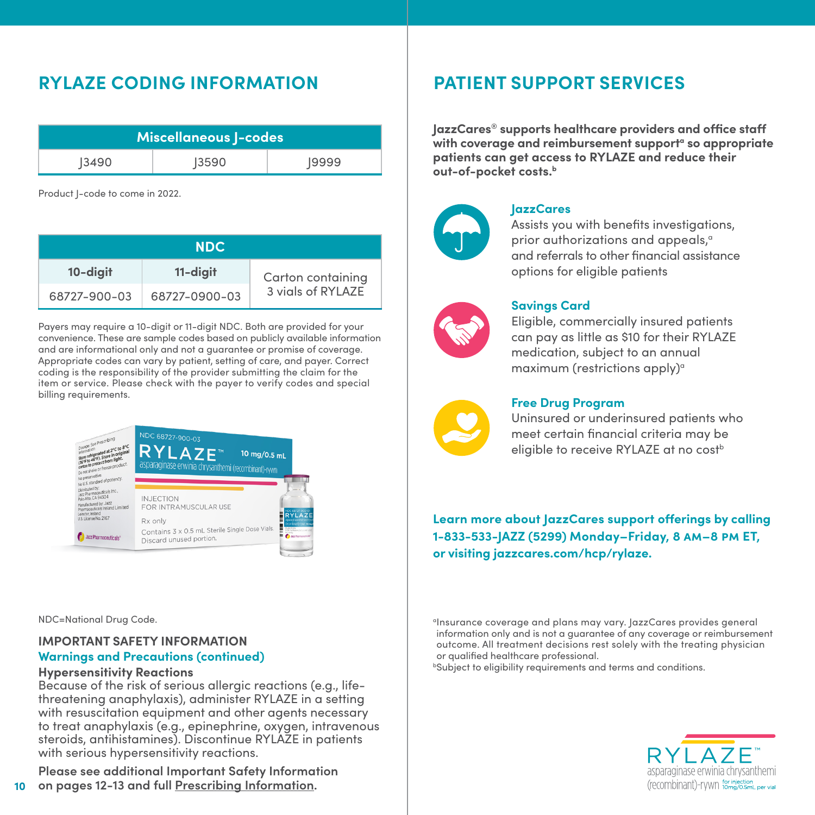### **RYLAZE CODING INFORMATION**

| Miscellaneous J-codes |       |       |  |  |
|-----------------------|-------|-------|--|--|
| 3490                  | 13590 | 19999 |  |  |

Product J-code to come in 2022.

| <b>NDC</b>   |               |                   |  |  |  |
|--------------|---------------|-------------------|--|--|--|
| 10-digit     | 11-digit      | Carton containing |  |  |  |
| 68727-900-03 | 68727-0900-03 | 3 vigls of RYLAZE |  |  |  |

Payers may require a 10-digit or 11-digit NDC. Both are provided for your convenience. These are sample codes based on publicly available information and are informational only and not a guarantee or promise of coverage. Appropriate codes can vary by patient, setting of care, and payer. Correct coding is the responsibility of the provider submitting the claim for the item or service. Please check with the payer to verify codes and special billing requirements.



NDC=National Drug Code.

#### **IMPORTANT SAFETY INFORMATION**

#### **Warnings and Precautions (continued)**

#### **Hypersensitivity Reactions**

Because of the risk of serious allergic reactions (e.g., lifethreatening anaphylaxis), administer RYLAZE in a setting with resuscitation equipment and other agents necessary to treat anaphylaxis (e.g., epinephrine, oxygen, intravenous steroids, antihistamines). Discontinue RYLAZE in patients with serious hypersensitivity reactions.

**10 Please see additional Important Safety Information on pages 12-13 and full [Prescribing Information](https://pp.jazzpharma.com/pi/rylaze.en.USPI.pdf).**

### **PATIENT SUPPORT SERVICES**

**JazzCares® supports healthcare providers and office staff**  with coverage and reimbursement support<sup>a</sup> so appropriate **patients can get access to RYLAZE and reduce their out-of-pocket costs.b**



#### **JazzCares**

Assists you with benefits investigations, prior authorizations and appeals,<sup>a</sup> and referrals to other financial assistance options for eligible patients



#### **Savings Card**

Eligible, commercially insured patients can pay as little as \$10 for their RYLAZE medication, subject to an annual maximum (restrictions apply) $\alpha$ 



#### **Free Drug Program**

Uninsured or underinsured patients who meet certain financial criteria may be eligible to receive RYLAZE at no cost<sup>b</sup>

**Learn more about JazzCares support offerings by calling 1-833-533-JAZZ (5299) Monday–Friday, 8 am–8 pm ET, or visiting jazzcares.com/hcp/rylaze.**

<sup>a</sup>Insurance coverage and plans may vary. JazzCares provides general information only and is not a guarantee of any coverage or reimbursement outcome. All treatment decisions rest solely with the treating physician or qualified healthcare professional.

**bSubject to eligibility requirements and terms and conditions.** 

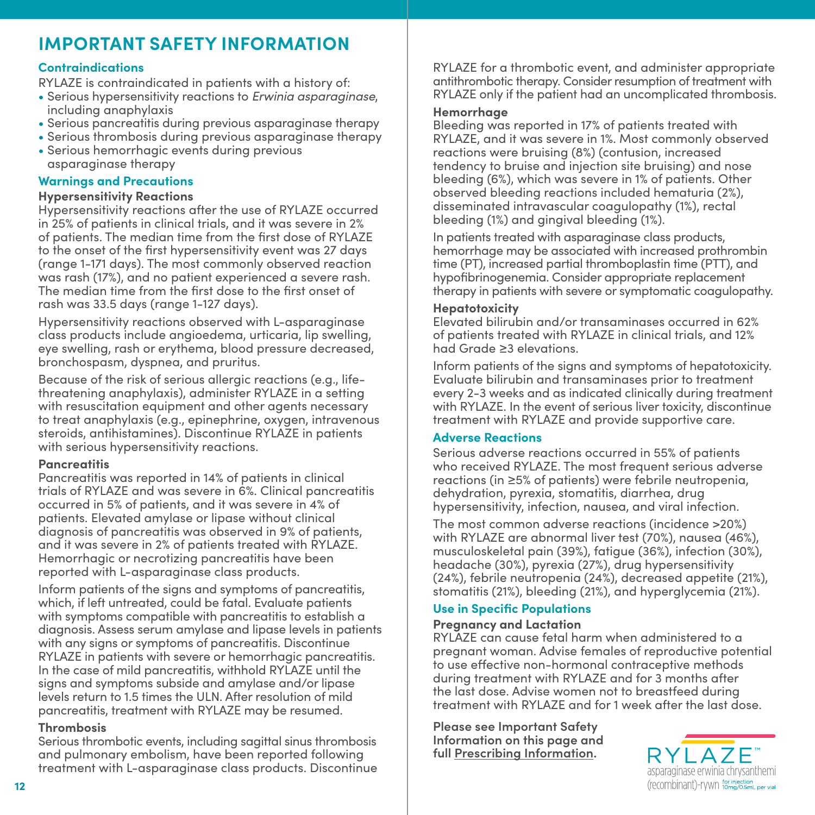### **IMPORTANT SAFETY INFORMATION**

#### **Contraindications**

RYLAZE is contraindicated in patients with a history of:

- Serious hypersensitivity reactions to *Erwinia asparaginase*, including anaphylaxis
- Serious pancreatitis during previous asparaginase therapy
- Serious thrombosis during previous asparaginase therapy
- Serious hemorrhagic events during previous asparaginase therapy

#### **Warnings and Precautions**

#### **Hypersensitivity Reactions**

Hypersensitivity reactions after the use of RYLAZE occurred in 25% of patients in clinical trials, and it was severe in 2% of patients. The median time from the first dose of RYLAZE to the onset of the first hypersensitivity event was 27 days (range 1-171 days). The most commonly observed reaction was rash (17%), and no patient experienced a severe rash. The median time from the first dose to the first onset of rash was 33.5 days (range 1-127 days).

Hypersensitivity reactions observed with L-asparaginase class products include angioedema, urticaria, lip swelling, eye swelling, rash or erythema, blood pressure decreased, bronchospasm, dyspnea, and pruritus.

Because of the risk of serious allergic reactions (e.g., lifethreatening anaphylaxis), administer RYLAZE in a setting with resuscitation equipment and other agents necessary to treat anaphylaxis (e.g., epinephrine, oxygen, intravenous steroids, antihistamines). Discontinue RYLAZE in patients with serious hypersensitivity reactions.

#### **Pancreatitis**

Pancreatitis was reported in 14% of patients in clinical trials of RYLAZE and was severe in 6%. Clinical pancreatitis occurred in 5% of patients, and it was severe in 4% of patients. Elevated amylase or lipase without clinical diagnosis of pancreatitis was observed in 9% of patients, and it was severe in 2% of patients treated with RYLAZE. Hemorrhagic or necrotizing pancreatitis have been reported with L-asparaginase class products.

Inform patients of the signs and symptoms of pancreatitis, which, if left untreated, could be fatal. Evaluate patients with symptoms compatible with pancreatitis to establish a diagnosis. Assess serum amylase and lipase levels in patients with any signs or symptoms of pancreatitis. Discontinue RYLAZE in patients with severe or hemorrhagic pancreatitis. In the case of mild pancreatitis, withhold RYLAZE until the signs and symptoms subside and amylase and/or lipase levels return to 1.5 times the ULN. After resolution of mild pancreatitis, treatment with RYLAZE may be resumed.

#### **Thrombosis**

Serious thrombotic events, including sagittal sinus thrombosis and pulmonary embolism, have been reported following treatment with L-asparaginase class products. Discontinue

RYLAZE for a thrombotic event, and administer appropriate antithrombotic therapy. Consider resumption of treatment with RYLAZE only if the patient had an uncomplicated thrombosis.

#### **Hemorrhage**

Bleeding was reported in 17% of patients treated with RYLAZE, and it was severe in 1%. Most commonly observed reactions were bruising (8%) (contusion, increased tendency to bruise and injection site bruising) and nose bleeding (6%), which was severe in 1% of patients. Other observed bleeding reactions included hematuria (2%), disseminated intravascular coagulopathy (1%), rectal bleeding (1%) and gingival bleeding (1%).

In patients treated with asparaginase class products, hemorrhage may be associated with increased prothrombin time (PT), increased partial thromboplastin time (PTT), and hypofibrinogenemia. Consider appropriate replacement therapy in patients with severe or symptomatic coagulopathy.

#### **Hepatotoxicity**

Elevated bilirubin and/or transaminases occurred in 62% of patients treated with RYLAZE in clinical trials, and 12% had Grade ≥3 elevations.

Inform patients of the signs and symptoms of hepatotoxicity. Evaluate bilirubin and transaminases prior to treatment every 2-3 weeks and as indicated clinically during treatment with RYLAZE. In the event of serious liver toxicity, discontinue treatment with RYLAZE and provide supportive care.

#### **Adverse Reactions**

Serious adverse reactions occurred in 55% of patients who received RYLAZE. The most frequent serious adverse reactions (in ≥5% of patients) were febrile neutropenia, dehydration, pyrexia, stomatitis, diarrhea, drug hypersensitivity, infection, nausea, and viral infection.

The most common adverse reactions (incidence >20%) with RYLAZE are abnormal liver test (70%), nausea (46%), musculoskeletal pain (39%), fatigue (36%), infection (30%), headache (30%), pyrexia (27%), drug hypersensitivity (24%), febrile neutropenia (24%), decreased appetite (21%), stomatitis (21%), bleeding (21%), and hyperglycemia (21%).

#### **Use in Specific Populations**

#### **Pregnancy and Lactation**

RYLAZE can cause fetal harm when administered to a pregnant woman. Advise females of reproductive potential to use effective non-hormonal contraceptive methods during treatment with RYLAZE and for 3 months after the last dose. Advise women not to breastfeed during treatment with RYLAZE and for 1 week after the last dose.

**Please see Important Safety Information on this page and full [Prescribing Information](https://pp.jazzpharma.com/pi/rylaze.en.USPI.pdf).**